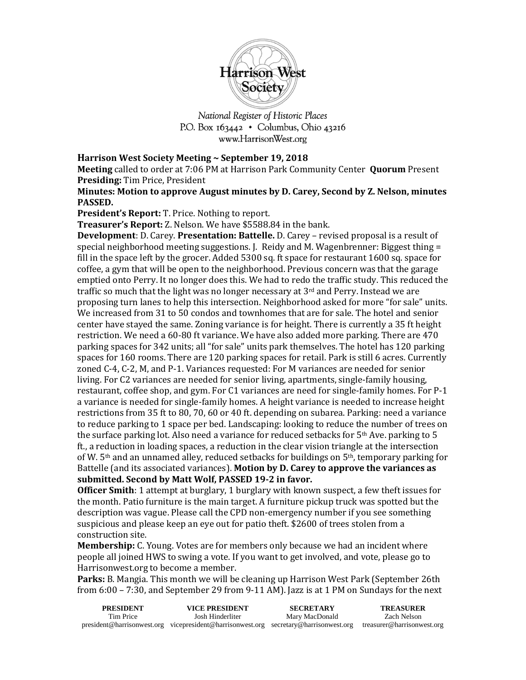

National Register of Historic Places P.O. Box 163442 • Columbus, Ohio 43216 www.HarrisonWest.org

## **Harrison West Society Meeting ~ September 19, 2018**

**Meeting** called to order at 7:06 PM at Harrison Park Community Center **Quorum** Present **Presiding:** Tim Price, President

**Minutes: Motion to approve August minutes by D. Carey, Second by Z. Nelson, minutes PASSED.** 

**President's Report:** T. Price. Nothing to report.

**Treasurer's Report:** Z. Nelson. We have \$5588.84 in the bank.

**Development**: D. Carey. **Presentation: Battelle.** D. Carey – revised proposal is a result of special neighborhood meeting suggestions. J. Reidy and M. Wagenbrenner: Biggest thing = fill in the space left by the grocer. Added 5300 sq. ft space for restaurant 1600 sq. space for coffee, a gym that will be open to the neighborhood. Previous concern was that the garage emptied onto Perry. It no longer does this. We had to redo the traffic study. This reduced the traffic so much that the light was no longer necessary at  $3<sup>rd</sup>$  and Perry. Instead we are proposing turn lanes to help this intersection. Neighborhood asked for more "for sale" units. We increased from 31 to 50 condos and townhomes that are for sale. The hotel and senior center have stayed the same. Zoning variance is for height. There is currently a 35 ft height restriction. We need a 60-80 ft variance. We have also added more parking. There are 470 parking spaces for 342 units; all "for sale" units park themselves. The hotel has 120 parking spaces for 160 rooms. There are 120 parking spaces for retail. Park is still 6 acres. Currently zoned C-4, C-2, M, and P-1. Variances requested: For M variances are needed for senior living. For C2 variances are needed for senior living, apartments, single-family housing, restaurant, coffee shop, and gym. For C1 variances are need for single-family homes. For P-1 a variance is needed for single-family homes. A height variance is needed to increase height restrictions from 35 ft to 80, 70, 60 or 40 ft. depending on subarea. Parking: need a variance to reduce parking to 1 space per bed. Landscaping: looking to reduce the number of trees on the surface parking lot. Also need a variance for reduced setbacks for  $5<sup>th</sup>$  Ave. parking to 5 ft., a reduction in loading spaces, a reduction in the clear vision triangle at the intersection of W.  $5<sup>th</sup>$  and an unnamed alley, reduced setbacks for buildings on  $5<sup>th</sup>$ , temporary parking for Battelle (and its associated variances). **Motion by D. Carey to approve the variances as submitted. Second by Matt Wolf, PASSED 19-2 in favor.**

**Officer Smith**: 1 attempt at burglary, 1 burglary with known suspect, a few theft issues for the month. Patio furniture is the main target. A furniture pickup truck was spotted but the description was vague. Please call the CPD non-emergency number if you see something suspicious and please keep an eye out for patio theft. \$2600 of trees stolen from a construction site.

**Membership:** C. Young. Votes are for members only because we had an incident where people all joined HWS to swing a vote. If you want to get involved, and vote, please go to Harrisonwest.org to become a member.

**Parks:** B. Mangia. This month we will be cleaning up Harrison West Park (September 26th from 6:00 – 7:30, and September 29 from 9-11 AM). Jazz is at 1 PM on Sundays for the next

| <b>PRESIDENT</b> | VICE PRESIDENT                                                                                                  | <b>SECRETARY</b> | <b>TREASURER</b> |
|------------------|-----------------------------------------------------------------------------------------------------------------|------------------|------------------|
| Tim Price        | Josh Hinderliter                                                                                                | Mary MacDonald   | Zach Nelson      |
|                  | president@harrisonwest.org vicepresident@harrisonwest.org secretary@harrisonwest.org treasurer@harrisonwest.org |                  |                  |